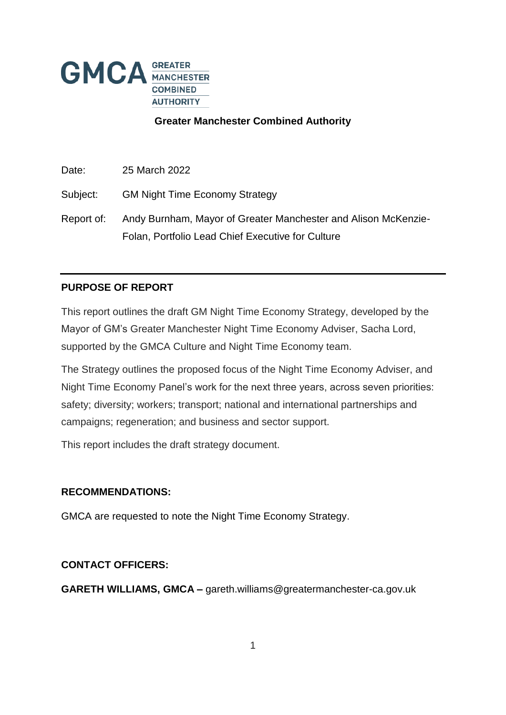

## **Greater Manchester Combined Authority**

Date: 25 March 2022

Subject: GM Night Time Economy Strategy

Report of: Andy Burnham, Mayor of Greater Manchester and Alison McKenzie-Folan, Portfolio Lead Chief Executive for Culture

## **PURPOSE OF REPORT**

This report outlines the draft GM Night Time Economy Strategy, developed by the Mayor of GM's Greater Manchester Night Time Economy Adviser, Sacha Lord, supported by the GMCA Culture and Night Time Economy team.

The Strategy outlines the proposed focus of the Night Time Economy Adviser, and Night Time Economy Panel's work for the next three years, across seven priorities: safety; diversity; workers; transport; national and international partnerships and campaigns; regeneration; and business and sector support.

This report includes the draft strategy document.

### **RECOMMENDATIONS:**

GMCA are requested to note the Night Time Economy Strategy.

### **CONTACT OFFICERS:**

**GARETH WILLIAMS, GMCA –** gareth.williams@greatermanchester-ca.gov.uk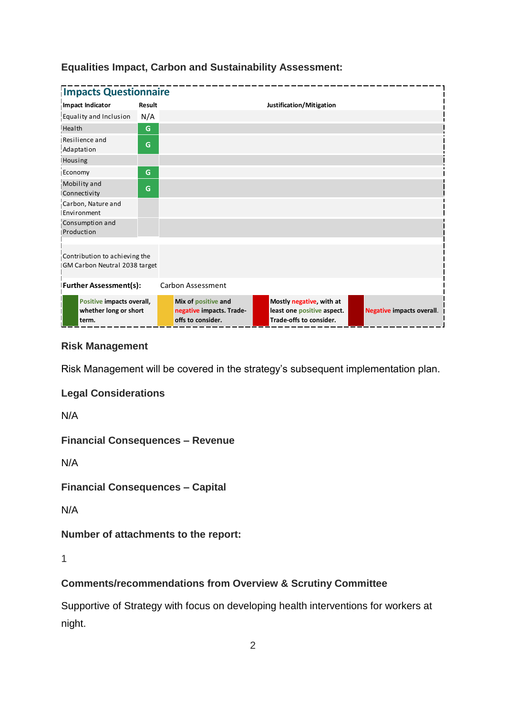| <b>Impacts Questionnaire</b>                                   |        |                                                                      |                                                                                   |                                  |  |  |  |  |
|----------------------------------------------------------------|--------|----------------------------------------------------------------------|-----------------------------------------------------------------------------------|----------------------------------|--|--|--|--|
| Impact Indicator                                               | Result |                                                                      | Justification/Mitigation                                                          |                                  |  |  |  |  |
| Equality and Inclusion                                         | N/A    |                                                                      |                                                                                   |                                  |  |  |  |  |
| Health                                                         | G      |                                                                      |                                                                                   |                                  |  |  |  |  |
| Resilience and<br>Adaptation                                   | G      |                                                                      |                                                                                   |                                  |  |  |  |  |
| Housing                                                        |        |                                                                      |                                                                                   |                                  |  |  |  |  |
| Economy                                                        | G      |                                                                      |                                                                                   |                                  |  |  |  |  |
| Mobility and<br>Connectivity                                   | G      |                                                                      |                                                                                   |                                  |  |  |  |  |
| Carbon, Nature and<br>Environment                              |        |                                                                      |                                                                                   |                                  |  |  |  |  |
| Consumption and<br>Production                                  |        |                                                                      |                                                                                   |                                  |  |  |  |  |
| Contribution to achieving the<br>GM Carbon Neutral 2038 target |        |                                                                      |                                                                                   |                                  |  |  |  |  |
| <b>Further Assessment(s):</b>                                  |        | Carbon Assessment                                                    |                                                                                   |                                  |  |  |  |  |
| Positive impacts overall,<br>whether long or short<br>term.    |        | Mix of positive and<br>negative impacts. Trade-<br>offs to consider. | Mostly negative, with at<br>least one positive aspect.<br>Trade-offs to consider. | <b>Negative impacts overall.</b> |  |  |  |  |

# **Equalities Impact, Carbon and Sustainability Assessment:**

## **Risk Management**

Risk Management will be covered in the strategy's subsequent implementation plan.

**Legal Considerations**

N/A

**Financial Consequences – Revenue**

N/A

**Financial Consequences – Capital**

N/A

**Number of attachments to the report:** 

1

# **Comments/recommendations from Overview & Scrutiny Committee**

Supportive of Strategy with focus on developing health interventions for workers at night.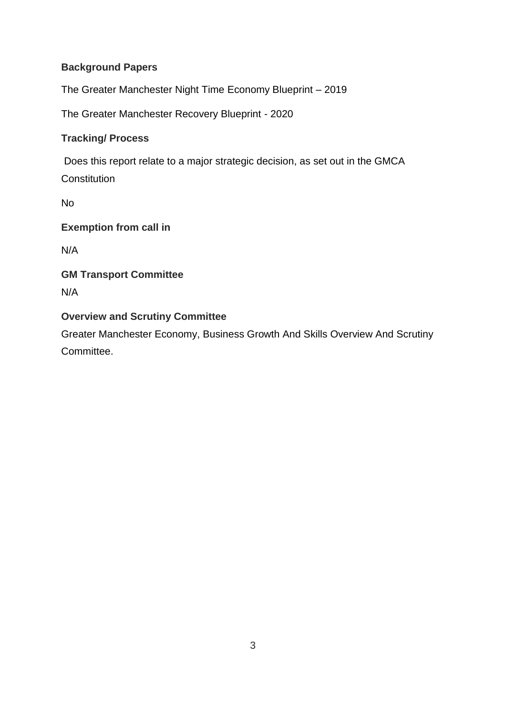# **Background Papers**

The Greater Manchester Night Time Economy Blueprint – 2019

The Greater Manchester Recovery Blueprint - 2020

# **Tracking/ Process**

Does this report relate to a major strategic decision, as set out in the GMCA **Constitution** 

No

**Exemption from call in** 

N/A

# **GM Transport Committee** N/A

# **Overview and Scrutiny Committee**

Greater Manchester Economy, Business Growth And Skills Overview And Scrutiny Committee.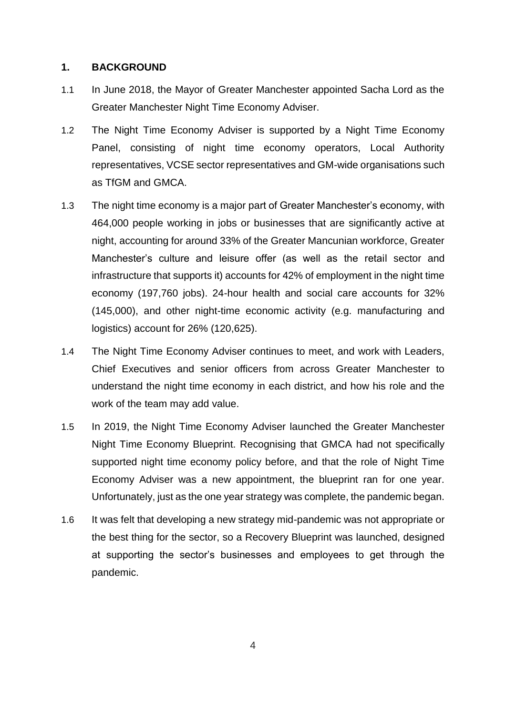### **1. BACKGROUND**

- 1.1 In June 2018, the Mayor of Greater Manchester appointed Sacha Lord as the Greater Manchester Night Time Economy Adviser.
- 1.2 The Night Time Economy Adviser is supported by a Night Time Economy Panel, consisting of night time economy operators, Local Authority representatives, VCSE sector representatives and GM-wide organisations such as TfGM and GMCA.
- 1.3 The night time economy is a major part of Greater Manchester's economy, with 464,000 people working in jobs or businesses that are significantly active at night, accounting for around 33% of the Greater Mancunian workforce, Greater Manchester's culture and leisure offer (as well as the retail sector and infrastructure that supports it) accounts for 42% of employment in the night time economy (197,760 jobs). 24-hour health and social care accounts for 32% (145,000), and other night-time economic activity (e.g. manufacturing and logistics) account for 26% (120,625).
- 1.4 The Night Time Economy Adviser continues to meet, and work with Leaders, Chief Executives and senior officers from across Greater Manchester to understand the night time economy in each district, and how his role and the work of the team may add value.
- 1.5 In 2019, the Night Time Economy Adviser launched the Greater Manchester Night Time Economy Blueprint. Recognising that GMCA had not specifically supported night time economy policy before, and that the role of Night Time Economy Adviser was a new appointment, the blueprint ran for one year. Unfortunately, just as the one year strategy was complete, the pandemic began.
- 1.6 It was felt that developing a new strategy mid-pandemic was not appropriate or the best thing for the sector, so a Recovery Blueprint was launched, designed at supporting the sector's businesses and employees to get through the pandemic.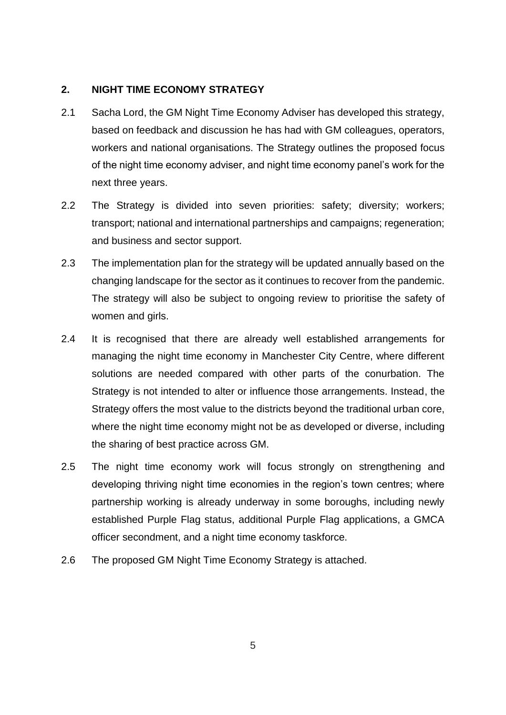### **2. NIGHT TIME ECONOMY STRATEGY**

- 2.1 Sacha Lord, the GM Night Time Economy Adviser has developed this strategy, based on feedback and discussion he has had with GM colleagues, operators, workers and national organisations. The Strategy outlines the proposed focus of the night time economy adviser, and night time economy panel's work for the next three years.
- 2.2 The Strategy is divided into seven priorities: safety; diversity; workers; transport; national and international partnerships and campaigns; regeneration; and business and sector support.
- 2.3 The implementation plan for the strategy will be updated annually based on the changing landscape for the sector as it continues to recover from the pandemic. The strategy will also be subject to ongoing review to prioritise the safety of women and girls.
- 2.4 It is recognised that there are already well established arrangements for managing the night time economy in Manchester City Centre, where different solutions are needed compared with other parts of the conurbation. The Strategy is not intended to alter or influence those arrangements. Instead, the Strategy offers the most value to the districts beyond the traditional urban core, where the night time economy might not be as developed or diverse, including the sharing of best practice across GM.
- 2.5 The night time economy work will focus strongly on strengthening and developing thriving night time economies in the region's town centres; where partnership working is already underway in some boroughs, including newly established Purple Flag status, additional Purple Flag applications, a GMCA officer secondment, and a night time economy taskforce.
- 2.6 The proposed GM Night Time Economy Strategy is attached.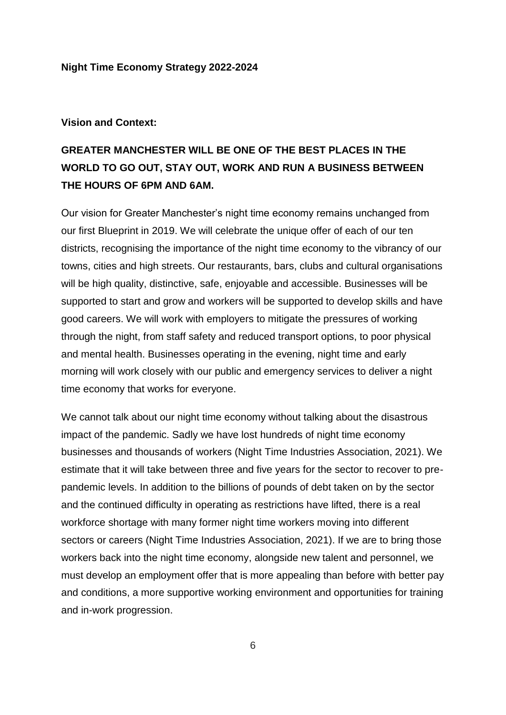#### **Night Time Economy Strategy 2022-2024**

#### **Vision and Context:**

# **GREATER MANCHESTER WILL BE ONE OF THE BEST PLACES IN THE WORLD TO GO OUT, STAY OUT, WORK AND RUN A BUSINESS BETWEEN THE HOURS OF 6PM AND 6AM.**

Our vision for Greater Manchester's night time economy remains unchanged from our first Blueprint in 2019. We will celebrate the unique offer of each of our ten districts, recognising the importance of the night time economy to the vibrancy of our towns, cities and high streets. Our restaurants, bars, clubs and cultural organisations will be high quality, distinctive, safe, enjoyable and accessible. Businesses will be supported to start and grow and workers will be supported to develop skills and have good careers. We will work with employers to mitigate the pressures of working through the night, from staff safety and reduced transport options, to poor physical and mental health. Businesses operating in the evening, night time and early morning will work closely with our public and emergency services to deliver a night time economy that works for everyone.

We cannot talk about our night time economy without talking about the disastrous impact of the pandemic. Sadly we have lost hundreds of night time economy businesses and thousands of workers (Night Time Industries Association, 2021). We estimate that it will take between three and five years for the sector to recover to prepandemic levels. In addition to the billions of pounds of debt taken on by the sector and the continued difficulty in operating as restrictions have lifted, there is a real workforce shortage with many former night time workers moving into different sectors or careers (Night Time Industries Association, 2021). If we are to bring those workers back into the night time economy, alongside new talent and personnel, we must develop an employment offer that is more appealing than before with better pay and conditions, a more supportive working environment and opportunities for training and in-work progression.

6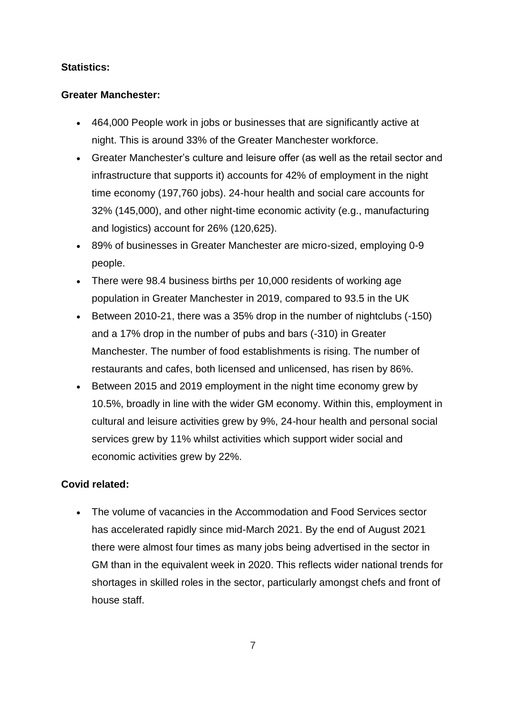## **Statistics:**

## **Greater Manchester:**

- 464,000 People work in jobs or businesses that are significantly active at night. This is around 33% of the Greater Manchester workforce.
- Greater Manchester's culture and leisure offer (as well as the retail sector and infrastructure that supports it) accounts for 42% of employment in the night time economy (197,760 jobs). 24-hour health and social care accounts for 32% (145,000), and other night-time economic activity (e.g., manufacturing and logistics) account for 26% (120,625).
- 89% of businesses in Greater Manchester are micro-sized, employing 0-9 people.
- There were 98.4 business births per 10,000 residents of working age population in Greater Manchester in 2019, compared to 93.5 in the UK
- Between 2010-21, there was a 35% drop in the number of nightclubs (-150) and a 17% drop in the number of pubs and bars (-310) in Greater Manchester. The number of food establishments is rising. The number of restaurants and cafes, both licensed and unlicensed, has risen by 86%.
- Between 2015 and 2019 employment in the night time economy grew by 10.5%, broadly in line with the wider GM economy. Within this, employment in cultural and leisure activities grew by 9%, 24-hour health and personal social services grew by 11% whilst activities which support wider social and economic activities grew by 22%.

# **Covid related:**

 The volume of vacancies in the Accommodation and Food Services sector has accelerated rapidly since mid-March 2021. By the end of August 2021 there were almost four times as many jobs being advertised in the sector in GM than in the equivalent week in 2020. This reflects wider national trends for shortages in skilled roles in the sector, particularly amongst chefs and front of house staff.

7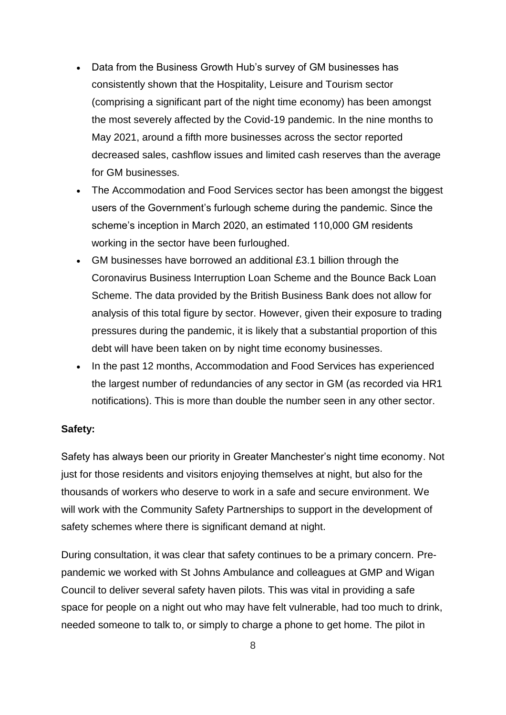- Data from the Business Growth Hub's survey of GM businesses has consistently shown that the Hospitality, Leisure and Tourism sector (comprising a significant part of the night time economy) has been amongst the most severely affected by the Covid-19 pandemic. In the nine months to May 2021, around a fifth more businesses across the sector reported decreased sales, cashflow issues and limited cash reserves than the average for GM businesses.
- The Accommodation and Food Services sector has been amongst the biggest users of the Government's furlough scheme during the pandemic. Since the scheme's inception in March 2020, an estimated 110,000 GM residents working in the sector have been furloughed.
- GM businesses have borrowed an additional £3.1 billion through the Coronavirus Business Interruption Loan Scheme and the Bounce Back Loan Scheme. The data provided by the British Business Bank does not allow for analysis of this total figure by sector. However, given their exposure to trading pressures during the pandemic, it is likely that a substantial proportion of this debt will have been taken on by night time economy businesses.
- In the past 12 months, Accommodation and Food Services has experienced the largest number of redundancies of any sector in GM (as recorded via HR1 notifications). This is more than double the number seen in any other sector.

#### **Safety:**

Safety has always been our priority in Greater Manchester's night time economy. Not just for those residents and visitors enjoying themselves at night, but also for the thousands of workers who deserve to work in a safe and secure environment. We will work with the Community Safety Partnerships to support in the development of safety schemes where there is significant demand at night.

During consultation, it was clear that safety continues to be a primary concern. Prepandemic we worked with St Johns Ambulance and colleagues at GMP and Wigan Council to deliver several safety haven pilots. This was vital in providing a safe space for people on a night out who may have felt vulnerable, had too much to drink, needed someone to talk to, or simply to charge a phone to get home. The pilot in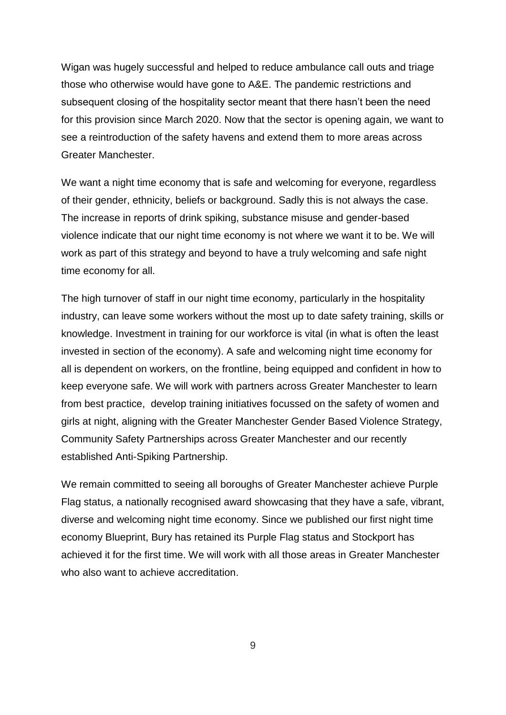Wigan was hugely successful and helped to reduce ambulance call outs and triage those who otherwise would have gone to A&E. The pandemic restrictions and subsequent closing of the hospitality sector meant that there hasn't been the need for this provision since March 2020. Now that the sector is opening again, we want to see a reintroduction of the safety havens and extend them to more areas across Greater Manchester.

We want a night time economy that is safe and welcoming for everyone, regardless of their gender, ethnicity, beliefs or background. Sadly this is not always the case. The increase in reports of drink spiking, substance misuse and gender-based violence indicate that our night time economy is not where we want it to be. We will work as part of this strategy and beyond to have a truly welcoming and safe night time economy for all.

The high turnover of staff in our night time economy, particularly in the hospitality industry, can leave some workers without the most up to date safety training, skills or knowledge. Investment in training for our workforce is vital (in what is often the least invested in section of the economy). A safe and welcoming night time economy for all is dependent on workers, on the frontline, being equipped and confident in how to keep everyone safe. We will work with partners across Greater Manchester to learn from best practice, develop training initiatives focussed on the safety of women and girls at night, aligning with the Greater Manchester Gender Based Violence Strategy, Community Safety Partnerships across Greater Manchester and our recently established Anti-Spiking Partnership.

We remain committed to seeing all boroughs of Greater Manchester achieve Purple Flag status, a nationally recognised award showcasing that they have a safe, vibrant, diverse and welcoming night time economy. Since we published our first night time economy Blueprint, Bury has retained its Purple Flag status and Stockport has achieved it for the first time. We will work with all those areas in Greater Manchester who also want to achieve accreditation.

9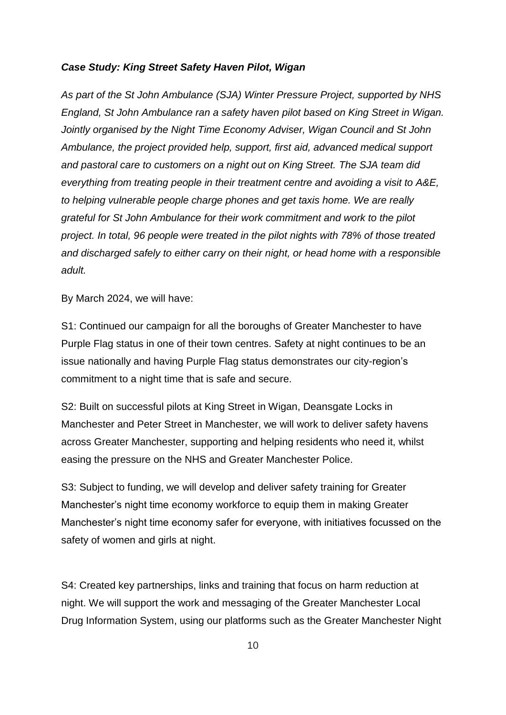#### *Case Study: King Street Safety Haven Pilot, Wigan*

*As part of the St John Ambulance (SJA) Winter Pressure Project, supported by NHS England, St John Ambulance ran a safety haven pilot based on King Street in Wigan. Jointly organised by the Night Time Economy Adviser, Wigan Council and St John Ambulance, the project provided help, support, first aid, advanced medical support and pastoral care to customers on a night out on King Street. The SJA team did everything from treating people in their treatment centre and avoiding a visit to A&E, to helping vulnerable people charge phones and get taxis home. We are really grateful for St John Ambulance for their work commitment and work to the pilot project. In total, 96 people were treated in the pilot nights with 78% of those treated and discharged safely to either carry on their night, or head home with a responsible adult.*

By March 2024, we will have:

S1: Continued our campaign for all the boroughs of Greater Manchester to have Purple Flag status in one of their town centres. Safety at night continues to be an issue nationally and having Purple Flag status demonstrates our city-region's commitment to a night time that is safe and secure.

S2: Built on successful pilots at King Street in Wigan, Deansgate Locks in Manchester and Peter Street in Manchester, we will work to deliver safety havens across Greater Manchester, supporting and helping residents who need it, whilst easing the pressure on the NHS and Greater Manchester Police.

S3: Subject to funding, we will develop and deliver safety training for Greater Manchester's night time economy workforce to equip them in making Greater Manchester's night time economy safer for everyone, with initiatives focussed on the safety of women and girls at night.

S4: Created key partnerships, links and training that focus on harm reduction at night. We will support the work and messaging of the Greater Manchester Local Drug Information System, using our platforms such as the Greater Manchester Night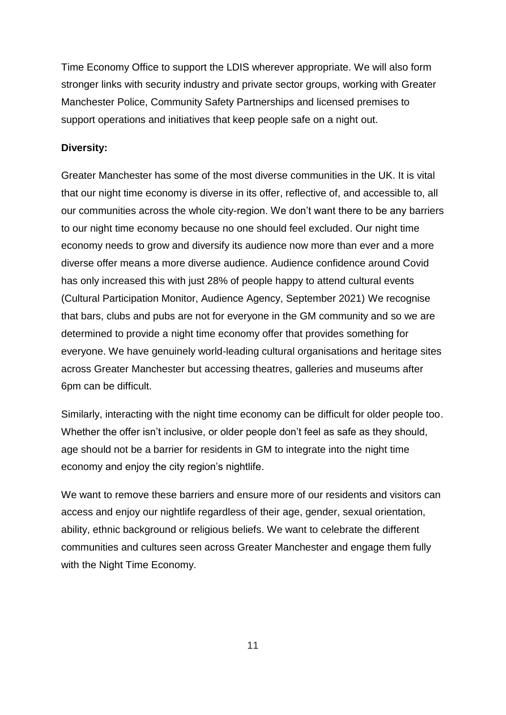Time Economy Office to support the LDIS wherever appropriate. We will also form stronger links with security industry and private sector groups, working with Greater Manchester Police, Community Safety Partnerships and licensed premises to support operations and initiatives that keep people safe on a night out.

### **Diversity:**

Greater Manchester has some of the most diverse communities in the UK. It is vital that our night time economy is diverse in its offer, reflective of, and accessible to, all our communities across the whole city-region. We don't want there to be any barriers to our night time economy because no one should feel excluded. Our night time economy needs to grow and diversify its audience now more than ever and a more diverse offer means a more diverse audience. Audience confidence around Covid has only increased this with just 28% of people happy to attend cultural events (Cultural Participation Monitor, Audience Agency, September 2021) We recognise that bars, clubs and pubs are not for everyone in the GM community and so we are determined to provide a night time economy offer that provides something for everyone. We have genuinely world-leading cultural organisations and heritage sites across Greater Manchester but accessing theatres, galleries and museums after 6pm can be difficult.

Similarly, interacting with the night time economy can be difficult for older people too. Whether the offer isn't inclusive, or older people don't feel as safe as they should, age should not be a barrier for residents in GM to integrate into the night time economy and enjoy the city region's nightlife.

We want to remove these barriers and ensure more of our residents and visitors can access and enjoy our nightlife regardless of their age, gender, sexual orientation, ability, ethnic background or religious beliefs. We want to celebrate the different communities and cultures seen across Greater Manchester and engage them fully with the Night Time Economy.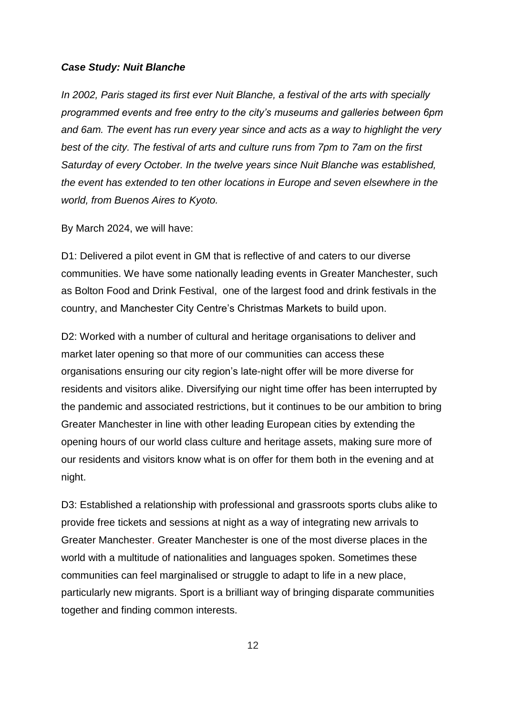#### *Case Study: Nuit Blanche*

*In 2002, Paris staged its first ever Nuit Blanche, a festival of the arts with specially programmed events and free entry to the city's museums and galleries between 6pm and 6am. The event has run every year since and acts as a way to highlight the very best of the city. The festival of arts and culture runs from 7pm to 7am on the first Saturday of every October. In the twelve years since Nuit Blanche was established, the event has extended to ten other locations in Europe and seven elsewhere in the world, from Buenos Aires to Kyoto.*

By March 2024, we will have:

D1: Delivered a pilot event in GM that is reflective of and caters to our diverse communities. We have some nationally leading events in Greater Manchester, such as Bolton Food and Drink Festival, one of the largest food and drink festivals in the country, and Manchester City Centre's Christmas Markets to build upon.

D2: Worked with a number of cultural and heritage organisations to deliver and market later opening so that more of our communities can access these organisations ensuring our city region's late-night offer will be more diverse for residents and visitors alike. Diversifying our night time offer has been interrupted by the pandemic and associated restrictions, but it continues to be our ambition to bring Greater Manchester in line with other leading European cities by extending the opening hours of our world class culture and heritage assets, making sure more of our residents and visitors know what is on offer for them both in the evening and at night.

D3: Established a relationship with professional and grassroots sports clubs alike to provide free tickets and sessions at night as a way of integrating new arrivals to Greater Manchester. Greater Manchester is one of the most diverse places in the world with a multitude of nationalities and languages spoken. Sometimes these communities can feel marginalised or struggle to adapt to life in a new place, particularly new migrants. Sport is a brilliant way of bringing disparate communities together and finding common interests.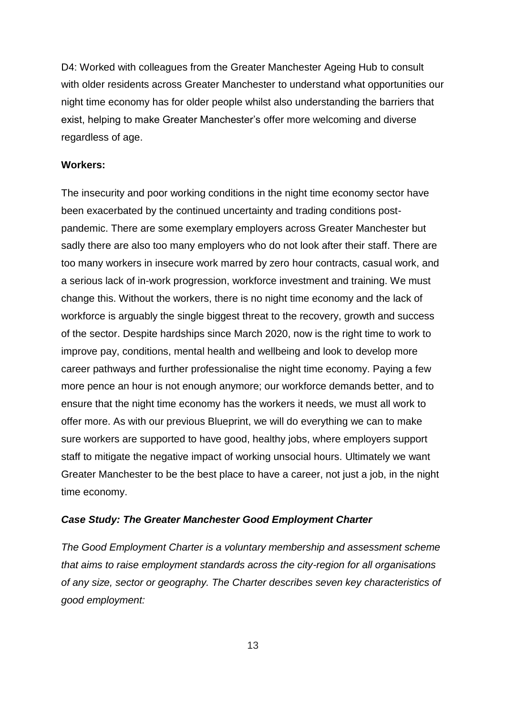D4: Worked with colleagues from the Greater Manchester Ageing Hub to consult with older residents across Greater Manchester to understand what opportunities our night time economy has for older people whilst also understanding the barriers that exist, helping to make Greater Manchester's offer more welcoming and diverse regardless of age.

#### **Workers:**

The insecurity and poor working conditions in the night time economy sector have been exacerbated by the continued uncertainty and trading conditions postpandemic. There are some exemplary employers across Greater Manchester but sadly there are also too many employers who do not look after their staff. There are too many workers in insecure work marred by zero hour contracts, casual work, and a serious lack of in-work progression, workforce investment and training. We must change this. Without the workers, there is no night time economy and the lack of workforce is arguably the single biggest threat to the recovery, growth and success of the sector. Despite hardships since March 2020, now is the right time to work to improve pay, conditions, mental health and wellbeing and look to develop more career pathways and further professionalise the night time economy. Paying a few more pence an hour is not enough anymore; our workforce demands better, and to ensure that the night time economy has the workers it needs, we must all work to offer more. As with our previous Blueprint, we will do everything we can to make sure workers are supported to have good, healthy jobs, where employers support staff to mitigate the negative impact of working unsocial hours. Ultimately we want Greater Manchester to be the best place to have a career, not just a job, in the night time economy.

#### *Case Study: The Greater Manchester Good Employment Charter*

*The Good Employment Charter is a voluntary membership and assessment scheme that aims to raise employment standards across the city-region for all organisations of any size, sector or geography. The Charter describes seven key characteristics of good employment:*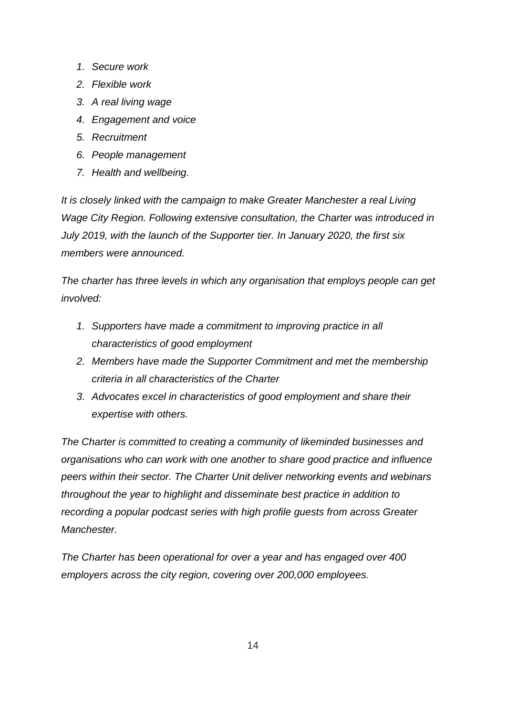- *1. Secure work*
- *2. Flexible work*
- *3. A real living wage*
- *4. Engagement and voice*
- *5. Recruitment*
- *6. People management*
- *7. Health and wellbeing.*

*It is closely linked with the campaign to make Greater Manchester a real Living Wage City Region. Following extensive consultation, the Charter was introduced in July 2019, with the launch of the Supporter tier. In January 2020, the first six members were announced.*

*The charter has three levels in which any organisation that employs people can get involved:*

- *1. Supporters have made a commitment to improving practice in all characteristics of good employment*
- *2. Members have made the Supporter Commitment and met the membership criteria in all characteristics of the Charter*
- *3. Advocates excel in characteristics of good employment and share their expertise with others.*

*The Charter is committed to creating a community of likeminded businesses and organisations who can work with one another to share good practice and influence peers within their sector. The Charter Unit deliver networking events and webinars throughout the year to highlight and disseminate best practice in addition to recording a popular podcast series with high profile guests from across Greater Manchester.* 

*The Charter has been operational for over a year and has engaged over 400 employers across the city region, covering over 200,000 employees.*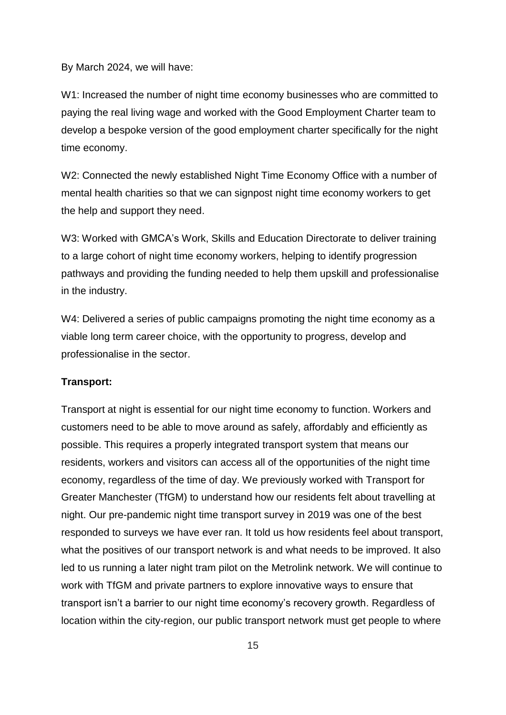By March 2024, we will have:

W1: Increased the number of night time economy businesses who are committed to paying the real living wage and worked with the Good Employment Charter team to develop a bespoke version of the good employment charter specifically for the night time economy.

W2: Connected the newly established Night Time Economy Office with a number of mental health charities so that we can signpost night time economy workers to get the help and support they need.

W3: Worked with GMCA's Work, Skills and Education Directorate to deliver training to a large cohort of night time economy workers, helping to identify progression pathways and providing the funding needed to help them upskill and professionalise in the industry.

W4: Delivered a series of public campaigns promoting the night time economy as a viable long term career choice, with the opportunity to progress, develop and professionalise in the sector.

#### **Transport:**

Transport at night is essential for our night time economy to function. Workers and customers need to be able to move around as safely, affordably and efficiently as possible. This requires a properly integrated transport system that means our residents, workers and visitors can access all of the opportunities of the night time economy, regardless of the time of day. We previously worked with Transport for Greater Manchester (TfGM) to understand how our residents felt about travelling at night. Our pre-pandemic night time transport survey in 2019 was one of the best responded to surveys we have ever ran. It told us how residents feel about transport, what the positives of our transport network is and what needs to be improved. It also led to us running a later night tram pilot on the Metrolink network. We will continue to work with TfGM and private partners to explore innovative ways to ensure that transport isn't a barrier to our night time economy's recovery growth. Regardless of location within the city-region, our public transport network must get people to where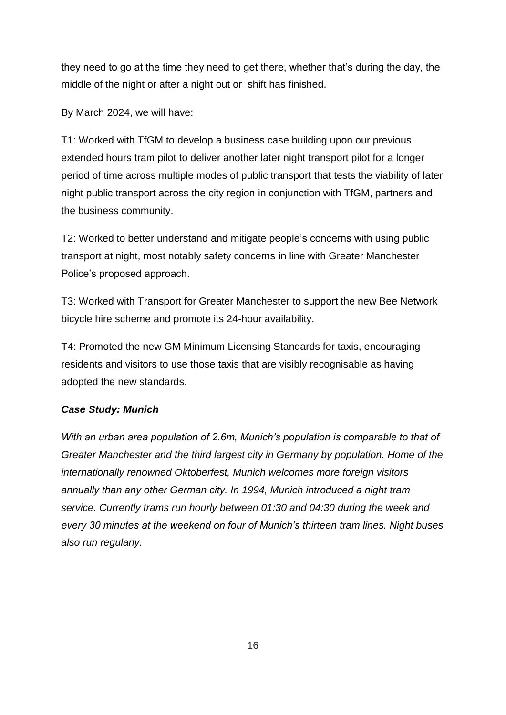they need to go at the time they need to get there, whether that's during the day, the middle of the night or after a night out or shift has finished.

By March 2024, we will have:

T1: Worked with TfGM to develop a business case building upon our previous extended hours tram pilot to deliver another later night transport pilot for a longer period of time across multiple modes of public transport that tests the viability of later night public transport across the city region in conjunction with TfGM, partners and the business community.

T2: Worked to better understand and mitigate people's concerns with using public transport at night, most notably safety concerns in line with Greater Manchester Police's proposed approach.

T3: Worked with Transport for Greater Manchester to support the new Bee Network bicycle hire scheme and promote its 24-hour availability.

T4: Promoted the new GM Minimum Licensing Standards for taxis, encouraging residents and visitors to use those taxis that are visibly recognisable as having adopted the new standards.

# *Case Study: Munich*

*With an urban area population of 2.6m, Munich's population is comparable to that of Greater Manchester and the third largest city in Germany by population. Home of the internationally renowned Oktoberfest, Munich welcomes more foreign visitors annually than any other German city. In 1994, Munich introduced a night tram service. Currently trams run hourly between 01:30 and 04:30 during the week and every 30 minutes at the weekend on four of Munich's thirteen tram lines. Night buses also run regularly.*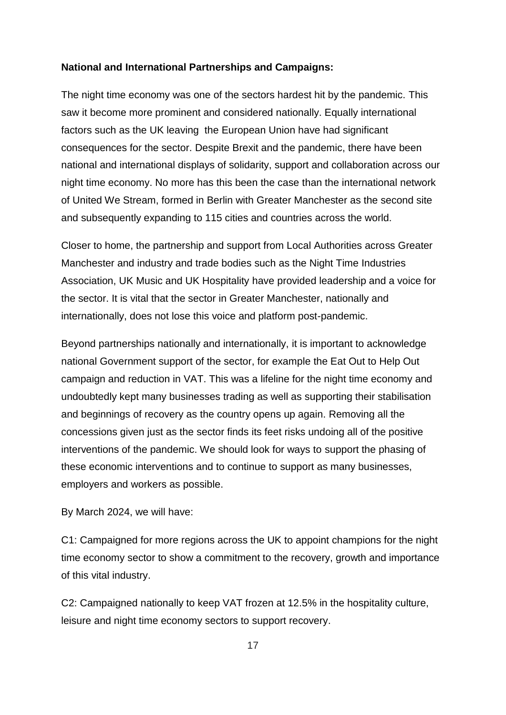#### **National and International Partnerships and Campaigns:**

The night time economy was one of the sectors hardest hit by the pandemic. This saw it become more prominent and considered nationally. Equally international factors such as the UK leaving the European Union have had significant consequences for the sector. Despite Brexit and the pandemic, there have been national and international displays of solidarity, support and collaboration across our night time economy. No more has this been the case than the international network of United We Stream, formed in Berlin with Greater Manchester as the second site and subsequently expanding to 115 cities and countries across the world.

Closer to home, the partnership and support from Local Authorities across Greater Manchester and industry and trade bodies such as the Night Time Industries Association, UK Music and UK Hospitality have provided leadership and a voice for the sector. It is vital that the sector in Greater Manchester, nationally and internationally, does not lose this voice and platform post-pandemic.

Beyond partnerships nationally and internationally, it is important to acknowledge national Government support of the sector, for example the Eat Out to Help Out campaign and reduction in VAT. This was a lifeline for the night time economy and undoubtedly kept many businesses trading as well as supporting their stabilisation and beginnings of recovery as the country opens up again. Removing all the concessions given just as the sector finds its feet risks undoing all of the positive interventions of the pandemic. We should look for ways to support the phasing of these economic interventions and to continue to support as many businesses, employers and workers as possible.

By March 2024, we will have:

C1: Campaigned for more regions across the UK to appoint champions for the night time economy sector to show a commitment to the recovery, growth and importance of this vital industry.

C2: Campaigned nationally to keep VAT frozen at 12.5% in the hospitality culture, leisure and night time economy sectors to support recovery.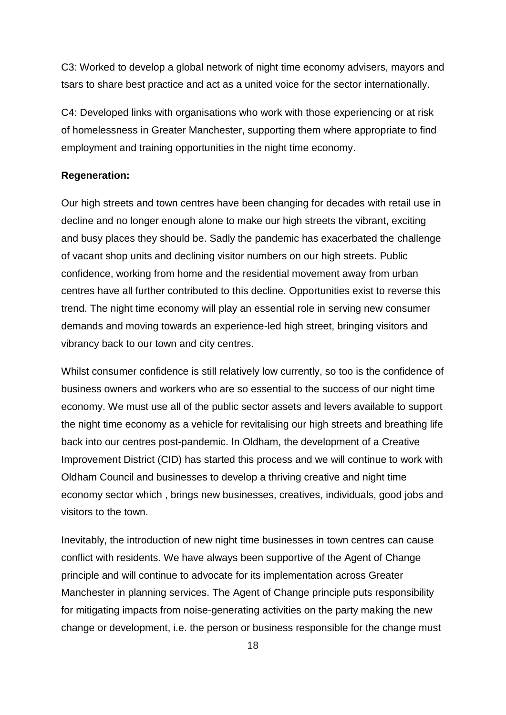C3: Worked to develop a global network of night time economy advisers, mayors and tsars to share best practice and act as a united voice for the sector internationally.

C4: Developed links with organisations who work with those experiencing or at risk of homelessness in Greater Manchester, supporting them where appropriate to find employment and training opportunities in the night time economy.

#### **Regeneration:**

Our high streets and town centres have been changing for decades with retail use in decline and no longer enough alone to make our high streets the vibrant, exciting and busy places they should be. Sadly the pandemic has exacerbated the challenge of vacant shop units and declining visitor numbers on our high streets. Public confidence, working from home and the residential movement away from urban centres have all further contributed to this decline. Opportunities exist to reverse this trend. The night time economy will play an essential role in serving new consumer demands and moving towards an experience-led high street, bringing visitors and vibrancy back to our town and city centres.

Whilst consumer confidence is still relatively low currently, so too is the confidence of business owners and workers who are so essential to the success of our night time economy. We must use all of the public sector assets and levers available to support the night time economy as a vehicle for revitalising our high streets and breathing life back into our centres post-pandemic. In Oldham, the development of a Creative Improvement District (CID) has started this process and we will continue to work with Oldham Council and businesses to develop a thriving creative and night time economy sector which , brings new businesses, creatives, individuals, good jobs and visitors to the town.

Inevitably, the introduction of new night time businesses in town centres can cause conflict with residents. We have always been supportive of the Agent of Change principle and will continue to advocate for its implementation across Greater Manchester in planning services. The Agent of Change principle puts responsibility for mitigating impacts from noise-generating activities on the party making the new change or development, i.e. the person or business responsible for the change must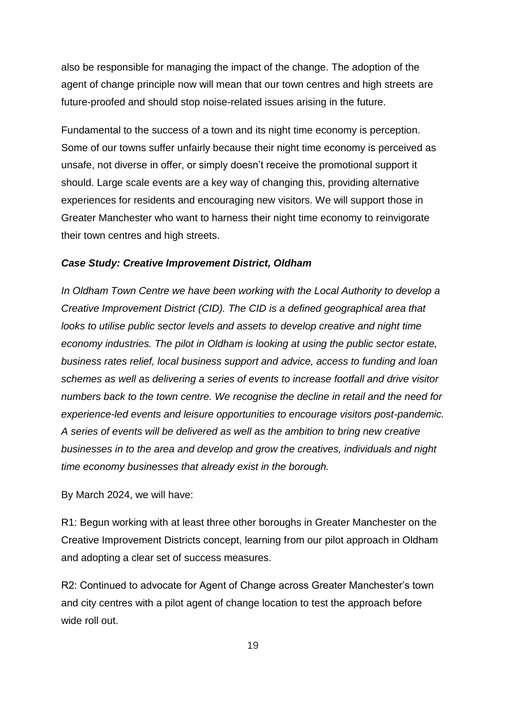also be responsible for managing the impact of the change. The adoption of the agent of change principle now will mean that our town centres and high streets are future-proofed and should stop noise-related issues arising in the future.

Fundamental to the success of a town and its night time economy is perception. Some of our towns suffer unfairly because their night time economy is perceived as unsafe, not diverse in offer, or simply doesn't receive the promotional support it should. Large scale events are a key way of changing this, providing alternative experiences for residents and encouraging new visitors. We will support those in Greater Manchester who want to harness their night time economy to reinvigorate their town centres and high streets.

### *Case Study: Creative Improvement District, Oldham*

*In Oldham Town Centre we have been working with the Local Authority to develop a Creative Improvement District (CID). The CID is a defined geographical area that looks to utilise public sector levels and assets to develop creative and night time economy industries. The pilot in Oldham is looking at using the public sector estate, business rates relief, local business support and advice, access to funding and loan schemes as well as delivering a series of events to increase footfall and drive visitor numbers back to the town centre. We recognise the decline in retail and the need for experience-led events and leisure opportunities to encourage visitors post-pandemic. A series of events will be delivered as well as the ambition to bring new creative businesses in to the area and develop and grow the creatives, individuals and night time economy businesses that already exist in the borough.*

By March 2024, we will have:

R1: Begun working with at least three other boroughs in Greater Manchester on the Creative Improvement Districts concept, learning from our pilot approach in Oldham and adopting a clear set of success measures.

R2: Continued to advocate for Agent of Change across Greater Manchester's town and city centres with a pilot agent of change location to test the approach before wide roll out.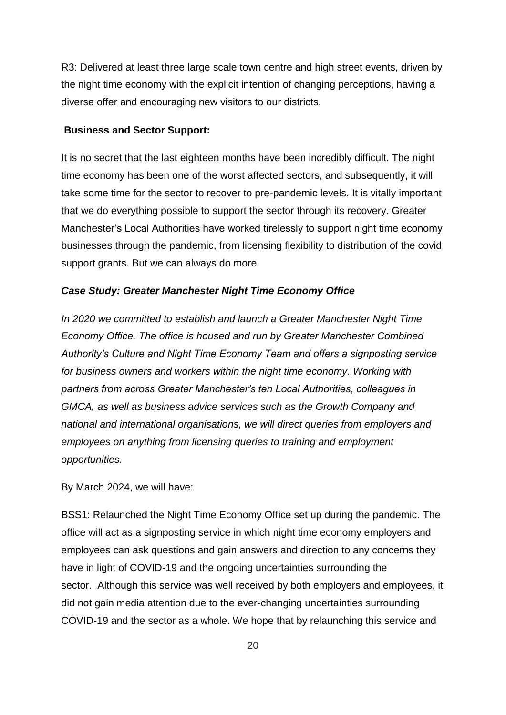R3: Delivered at least three large scale town centre and high street events, driven by the night time economy with the explicit intention of changing perceptions, having a diverse offer and encouraging new visitors to our districts.

#### **Business and Sector Support:**

It is no secret that the last eighteen months have been incredibly difficult. The night time economy has been one of the worst affected sectors, and subsequently, it will take some time for the sector to recover to pre-pandemic levels. It is vitally important that we do everything possible to support the sector through its recovery. Greater Manchester's Local Authorities have worked tirelessly to support night time economy businesses through the pandemic, from licensing flexibility to distribution of the covid support grants. But we can always do more.

#### *Case Study: Greater Manchester Night Time Economy Office*

*In 2020 we committed to establish and launch a Greater Manchester Night Time Economy Office. The office is housed and run by Greater Manchester Combined Authority's Culture and Night Time Economy Team and offers a signposting service for business owners and workers within the night time economy. Working with partners from across Greater Manchester's ten Local Authorities, colleagues in GMCA, as well as business advice services such as the Growth Company and national and international organisations, we will direct queries from employers and employees on anything from licensing queries to training and employment opportunities.*

By March 2024, we will have:

BSS1: Relaunched the Night Time Economy Office set up during the pandemic. The office will act as a signposting service in which night time economy employers and employees can ask questions and gain answers and direction to any concerns they have in light of COVID-19 and the ongoing uncertainties surrounding the sector. Although this service was well received by both employers and employees, it did not gain media attention due to the ever-changing uncertainties surrounding COVID-19 and the sector as a whole. We hope that by relaunching this service and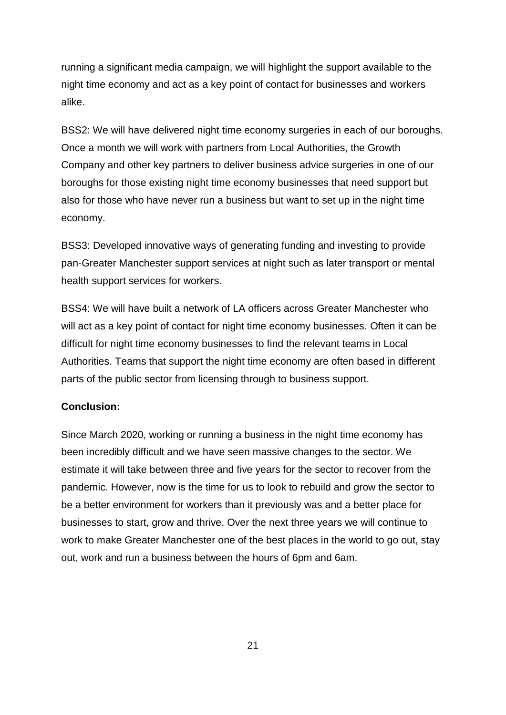running a significant media campaign, we will highlight the support available to the night time economy and act as a key point of contact for businesses and workers alike.

BSS2: We will have delivered night time economy surgeries in each of our boroughs. Once a month we will work with partners from Local Authorities, the Growth Company and other key partners to deliver business advice surgeries in one of our boroughs for those existing night time economy businesses that need support but also for those who have never run a business but want to set up in the night time economy.

BSS3: Developed innovative ways of generating funding and investing to provide pan-Greater Manchester support services at night such as later transport or mental health support services for workers.

BSS4: We will have built a network of LA officers across Greater Manchester who will act as a key point of contact for night time economy businesses. Often it can be difficult for night time economy businesses to find the relevant teams in Local Authorities. Teams that support the night time economy are often based in different parts of the public sector from licensing through to business support.

## **Conclusion:**

Since March 2020, working or running a business in the night time economy has been incredibly difficult and we have seen massive changes to the sector. We estimate it will take between three and five years for the sector to recover from the pandemic. However, now is the time for us to look to rebuild and grow the sector to be a better environment for workers than it previously was and a better place for businesses to start, grow and thrive. Over the next three years we will continue to work to make Greater Manchester one of the best places in the world to go out, stay out, work and run a business between the hours of 6pm and 6am.

21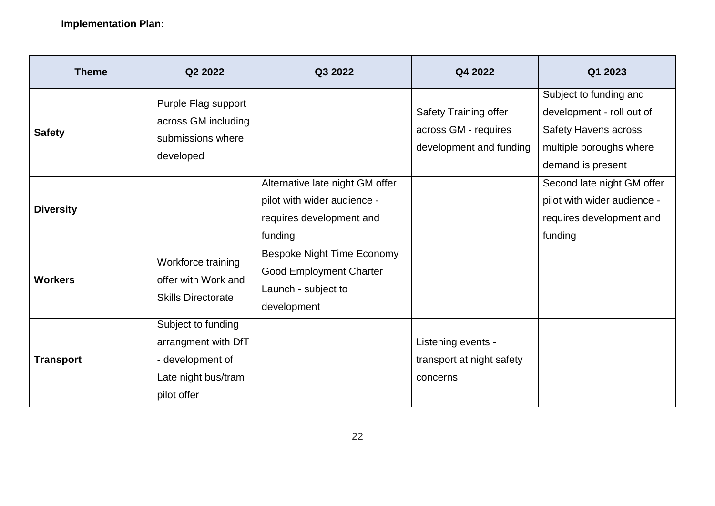| <b>Theme</b>     | Q2 2022                                                                                             | Q3 2022                                                                                                   | Q4 2022                                                                  | Q1 2023                                                                                                                            |
|------------------|-----------------------------------------------------------------------------------------------------|-----------------------------------------------------------------------------------------------------------|--------------------------------------------------------------------------|------------------------------------------------------------------------------------------------------------------------------------|
| <b>Safety</b>    | Purple Flag support<br>across GM including<br>submissions where<br>developed                        |                                                                                                           | Safety Training offer<br>across GM - requires<br>development and funding | Subject to funding and<br>development - roll out of<br><b>Safety Havens across</b><br>multiple boroughs where<br>demand is present |
| <b>Diversity</b> |                                                                                                     | Alternative late night GM offer<br>pilot with wider audience -<br>requires development and<br>funding     |                                                                          | Second late night GM offer<br>pilot with wider audience -<br>requires development and<br>funding                                   |
| <b>Workers</b>   | Workforce training<br>offer with Work and<br><b>Skills Directorate</b>                              | <b>Bespoke Night Time Economy</b><br><b>Good Employment Charter</b><br>Launch - subject to<br>development |                                                                          |                                                                                                                                    |
| <b>Transport</b> | Subject to funding<br>arrangment with DfT<br>- development of<br>Late night bus/tram<br>pilot offer |                                                                                                           | Listening events -<br>transport at night safety<br>concerns              |                                                                                                                                    |